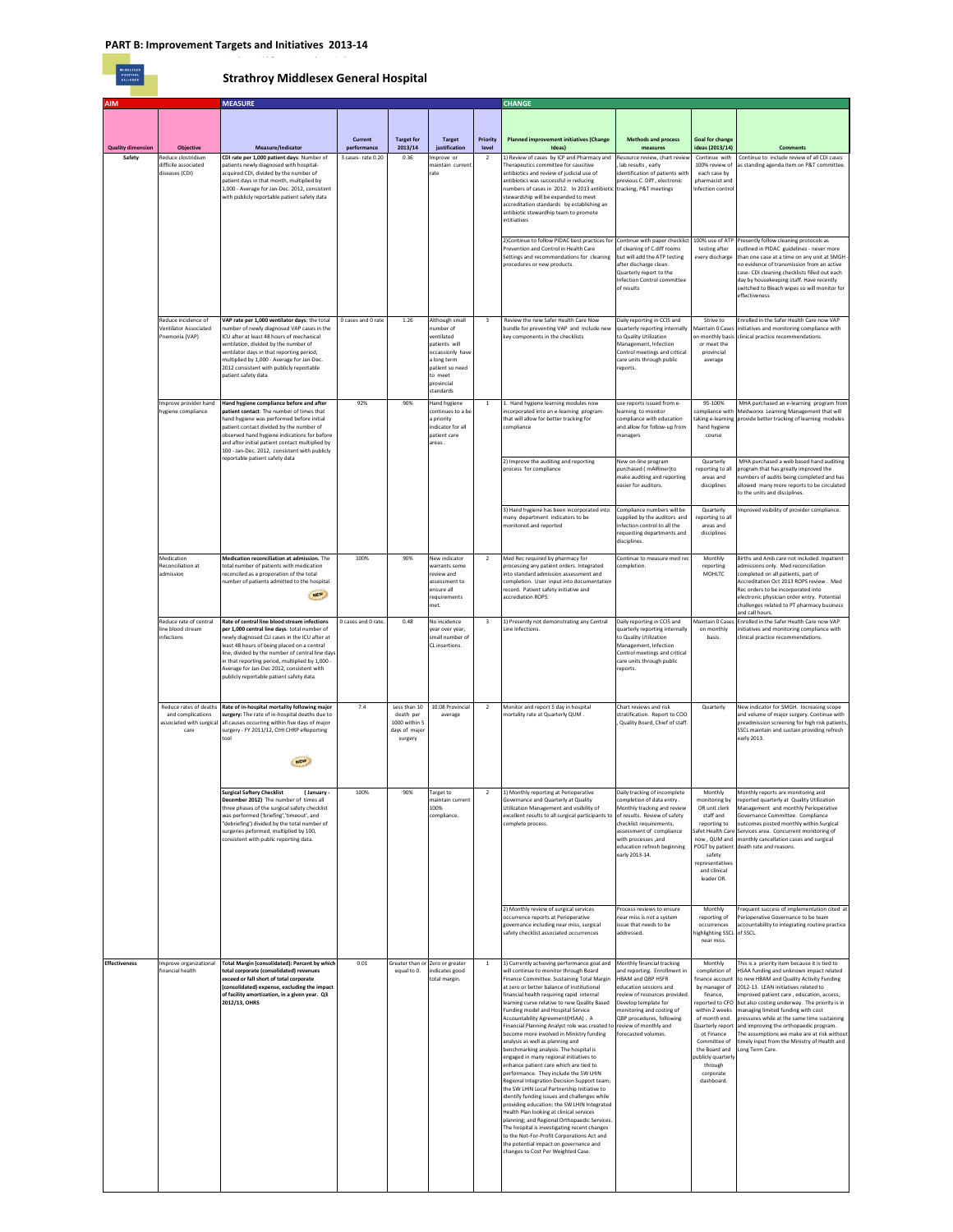## **Strathroy Middlesex General Hospital**

| AIM                      |                                                | <b>MEASURE</b>                                                                                   |                        |                                                |                                   |                         | <b>CHANGE</b>                                                                                                         |                                                                 |                                           |                                                                                              |
|--------------------------|------------------------------------------------|--------------------------------------------------------------------------------------------------|------------------------|------------------------------------------------|-----------------------------------|-------------------------|-----------------------------------------------------------------------------------------------------------------------|-----------------------------------------------------------------|-------------------------------------------|----------------------------------------------------------------------------------------------|
|                          |                                                |                                                                                                  |                        |                                                |                                   |                         |                                                                                                                       |                                                                 |                                           |                                                                                              |
|                          |                                                |                                                                                                  |                        |                                                |                                   |                         |                                                                                                                       |                                                                 |                                           |                                                                                              |
| <b>Quality dimension</b> | <b>Objective</b>                               | Measure/Indicator                                                                                | Current<br>performance | <b>Target for</b><br>2013/14                   | <b>Target</b><br>justification    | Priority<br>level       | <b>Planned improvement initiatives (Change</b><br>Ideas)                                                              | <b>Methods and process</b><br>measures                          | <b>Goal for change</b><br>ideas (2013/14) | <b>Comments</b>                                                                              |
| Safety                   | Reduce clostridium                             | CDI rate per 1,000 patient days: Number of                                                       | 3 cases-rate 0.20      | 0.36                                           | Improve or                        | $\overline{2}$          | 1) Review of cases by ICP and Pharmacy and                                                                            | lesource review, chart review                                   | Continue with                             | Continue to include review of all CDI cases                                                  |
|                          | difficile associated<br>diseases (CDI)         | patients newly diagnosed with hospital-<br>acquired CDI, divided by the number of                |                        |                                                | maintain curren<br>rate           |                         | Therapeutics committee for causitive<br>antibiotics and review of judicial use of                                     | lab results, early<br>dentification of patients with            | 100% review of<br>each case by            | as standing agenda item on P&T committee                                                     |
|                          |                                                | patient days in that month, multiplied by<br>1,000 - Average for Jan-Dec. 2012, consistent       |                        |                                                |                                   |                         | antibiotics was successful in reducing<br>numbers of cases in 2012. In 2013 antibiotic tracking, P&T meetings         | previous C. Diff, electronic                                    | pharmacist and<br>Infection control       |                                                                                              |
|                          |                                                | with publicly reportable patient safety data                                                     |                        |                                                |                                   |                         | stewardship will be expanded to meet                                                                                  |                                                                 |                                           |                                                                                              |
|                          |                                                |                                                                                                  |                        |                                                |                                   |                         | accreditation standards by establishing an<br>antibiotic stewardhip team to promote                                   |                                                                 |                                           |                                                                                              |
|                          |                                                |                                                                                                  |                        |                                                |                                   |                         | intitiatives                                                                                                          |                                                                 |                                           |                                                                                              |
|                          |                                                |                                                                                                  |                        |                                                |                                   |                         |                                                                                                                       |                                                                 |                                           |                                                                                              |
|                          |                                                |                                                                                                  |                        |                                                |                                   |                         | 2) Continue to follow PIDAC best practices for Continue with paper checklist<br>Prevention and Control in Health Care | of cleaning of C.diff rooms                                     | 100% use of ATP<br>testing after          | Presently follow cleaning protocols as<br>outlined in PIDAC guidelines - never more          |
|                          |                                                |                                                                                                  |                        |                                                |                                   |                         | Settings and recommendations for cleaning                                                                             | but will add the ATP testing                                    | every discharge                           | than one case at a time on any unit at SMGH                                                  |
|                          |                                                |                                                                                                  |                        |                                                |                                   |                         | procedures or new products.                                                                                           | after discharge clean<br>Quarterly report to the                |                                           | no evidence of transmission from an active<br>case- CDI cleaning checklists filled out each  |
|                          |                                                |                                                                                                  |                        |                                                |                                   |                         |                                                                                                                       | <b>Infection Control committee</b><br>of results                |                                           | day by housekeeping staff. Have recently<br>switched to Bleach wipes so will monitor for     |
|                          |                                                |                                                                                                  |                        |                                                |                                   |                         |                                                                                                                       |                                                                 |                                           | effectiveness                                                                                |
|                          |                                                |                                                                                                  |                        |                                                |                                   |                         |                                                                                                                       |                                                                 |                                           |                                                                                              |
|                          | Reduce incidence of                            | VAP rate per 1,000 ventilator days: the total                                                    | 0 cases and 0 rate     | 1.26                                           | Although small                    | $\overline{\mathbf{3}}$ | Review the new Safer Health Care Now                                                                                  | Daily reporting in CCIS and                                     | Strive to                                 | Enrolled in the Safer Health Care now VAP                                                    |
|                          | <b>Ventilator Associated</b><br>Pnemonia (VAP) | number of newly diagnosed VAP cases in the<br>ICU after at least 48 hours of mechanical          |                        |                                                | number of<br>ventilated           |                         | bundle for preventing VAP and include new<br>key components in the checklists                                         | quarterly reporting internally<br>to Quality Utilization        | Maintain 0 Cases<br>on monthly basis      | initiatives and monitoring compliance with<br>clinical practice recommendations.             |
|                          |                                                | ventilation, divided by the number of<br>ventilator days in that reporting period,               |                        |                                                | patients will<br>occassionly hav  |                         |                                                                                                                       | Management, Infection<br>Control meetings and critical          | or meet the<br>provincial                 |                                                                                              |
|                          |                                                | multiplied by 1,000 - Average for Jan-Dec.                                                       |                        |                                                | a long term                       |                         |                                                                                                                       | care units through public                                       | average                                   |                                                                                              |
|                          |                                                | 2012 consistent with publicly reportable<br>patient safety data                                  |                        |                                                | patient so need<br>to meet        |                         |                                                                                                                       | reports.                                                        |                                           |                                                                                              |
|                          |                                                |                                                                                                  |                        |                                                | provincial<br>standards           |                         |                                                                                                                       |                                                                 |                                           |                                                                                              |
|                          | Improve provider hand                          | Hand hygiene compliance before and after                                                         | 92%                    | 90%                                            | Hand hygiene                      | $\mathbf{1}$            | 1. Hand hygiene learning modules now                                                                                  | use reports issued from e-                                      | 95-100%                                   | MHA purchased an e-learning program from                                                     |
|                          | hygiene compliance                             | patient contact: The number of times that                                                        |                        |                                                | continues to a b                  |                         | incorporated into an e-learning program                                                                               | learning to monitor                                             | compliance with                           | Medworxx Learning Management that will                                                       |
|                          |                                                | hand hygiene was performed before initial<br>patient contact divided by the number of            |                        |                                                | a priority<br>indicator for all   |                         | that will allow for better tracking for<br>compliance                                                                 | compliance with education<br>and allow for follow-up from       | hand hygiene                              | aking e-learning provide better tracking of learning modules                                 |
|                          |                                                | observed hand hygiene indications for before<br>and after initial patient contact multiplied by  |                        |                                                | patient care<br>areas.            |                         |                                                                                                                       | managers                                                        | course                                    |                                                                                              |
|                          |                                                | 100 - Jan-Dec. 2012, consistent with publicly                                                    |                        |                                                |                                   |                         |                                                                                                                       |                                                                 |                                           |                                                                                              |
|                          |                                                | reportable patient safety data                                                                   |                        |                                                |                                   |                         | 2) Improve the auditing and reporting                                                                                 | New on-line program                                             | Quarterly                                 | MHA purchased a web based hand auditing                                                      |
|                          |                                                |                                                                                                  |                        |                                                |                                   |                         | process for compliance                                                                                                | purchased (mAiRiner)to<br>make auditing and reporting           | eporting to all<br>areas and              | program that has greatly improved the<br>numbers of audits being completed and has           |
|                          |                                                |                                                                                                  |                        |                                                |                                   |                         |                                                                                                                       | easier for auditors.                                            | disciplines                               | allowed many more reports to be circulated<br>to the units and disciplines.                  |
|                          |                                                |                                                                                                  |                        |                                                |                                   |                         |                                                                                                                       |                                                                 |                                           |                                                                                              |
|                          |                                                |                                                                                                  |                        |                                                |                                   |                         | 3) Hand hygiene has been incorporated into<br>many department indicators to be                                        | Compliance numbers will be<br>supplied by the auditors, and     | Quarterly<br>reporting to all             | Improved visibility of provider compliance.                                                  |
|                          |                                                |                                                                                                  |                        |                                                |                                   |                         | monitored and reported                                                                                                | infection control to all the<br>requesting departments and      | areas and                                 |                                                                                              |
|                          |                                                |                                                                                                  |                        |                                                |                                   |                         |                                                                                                                       | disciplines.                                                    | disciplines                               |                                                                                              |
|                          | Medication                                     | Medication reconciliation at admission. The                                                      | 100%                   | 90%                                            | New indicator                     | $\overline{2}$          | Med Rec required by pharmacy for                                                                                      | Continue to measure med rec                                     | Monthly                                   | Births and Amb care not included. Inpatient                                                  |
|                          | Reconciliation at                              | total number of patients with medication                                                         |                        |                                                | warrants some                     |                         | processing any patient orders. Integrated                                                                             | completion.                                                     | reporting                                 | admissions only. Med reconciliation                                                          |
|                          | admission                                      | reconciled as a proporation of the total<br>number of patients admitted to the hospital.         |                        |                                                | review and<br>assessment to       |                         | into standard admission assessment and<br>completion. User input into documentation                                   |                                                                 | <b>MOHLTC</b>                             | completed on all patients, part of<br>Accreditation Oct 2013 ROPS review . Med               |
|                          |                                                | NEW 3                                                                                            |                        |                                                | ensure all                        |                         | record. Patient safety initiative and                                                                                 |                                                                 |                                           | Rec orders to be incorporated into                                                           |
|                          |                                                |                                                                                                  |                        |                                                | requirements<br>met.              |                         | accrediation ROPS.                                                                                                    |                                                                 |                                           | electronic physician order entry. Potential<br>challenges related to PT pharmacy business    |
|                          | Reduce rate of central                         | Rate of central line blood stream infections                                                     | 0 cases and 0 rate     | 0.48                                           | No incidence                      | $\overline{\mathbf{3}}$ | 1) Presently not demonstrating any Central                                                                            | Daily reporting in CCIS and                                     | Maintain 0 Cases                          | and call hours.<br>Enrolled in the Safer Health Care now VAP                                 |
|                          | line blood stream                              | per 1,000 central line days: total number of                                                     |                        |                                                | vear over year.                   |                         | Line Infections.                                                                                                      | quarterly reporting internally                                  | on monthly                                | initiatives and monitoring compliance with                                                   |
|                          | infections                                     | newly diagnosed CLI cases in the ICU after at<br>least 48 hours of being placed on a central     |                        |                                                | small number of<br>CL insertions. |                         |                                                                                                                       | to Quality Utilization<br>Management, Infection                 | basis.                                    | clinical practice recommendations.                                                           |
|                          |                                                | line, divided by the number of central line days                                                 |                        |                                                |                                   |                         |                                                                                                                       | Control meetings and critical                                   |                                           |                                                                                              |
|                          |                                                | in that reporting period, multiplied by 1,000<br>Average for Jan-Dec 2012, consistent with       |                        |                                                |                                   |                         |                                                                                                                       | care units through public<br>reports.                           |                                           |                                                                                              |
|                          |                                                | publicly reportable patient safety data                                                          |                        |                                                |                                   |                         |                                                                                                                       |                                                                 |                                           |                                                                                              |
|                          |                                                |                                                                                                  |                        |                                                |                                   |                         |                                                                                                                       |                                                                 |                                           |                                                                                              |
|                          | Reduce rates of deaths                         | Rate of in-hospital mortality following major                                                    | 74                     | Less than 10                                   | 10.08 Provincial                  | $\overline{2}$          | Monitor and report 5 day in hospital                                                                                  | Chart reviews and risk                                          | Quarterly                                 | New indicator for SMGH. Increasing scope                                                     |
|                          | and complications<br>associated with surgical  | surgery: The rate of in-hospital deaths due to<br>all causes occurring within five days of major |                        | death per<br>1000 within 5                     | average                           |                         | nortality rate at Quarterly QUM.                                                                                      | stratification. Report to COO<br>Quality Board, Chief of staff. |                                           | and volume of major surgery. Continue with<br>preadmission screening for high risk patients, |
|                          | care                                           | surgery - FY 2011/12, CIHI CHRP eReporting<br>tool                                               |                        | days of major<br>surgery                       |                                   |                         |                                                                                                                       |                                                                 |                                           | SSCL maintain and sustain providing refresh<br>early 2013.                                   |
|                          |                                                |                                                                                                  |                        |                                                |                                   |                         |                                                                                                                       |                                                                 |                                           |                                                                                              |
|                          |                                                |                                                                                                  |                        |                                                |                                   |                         |                                                                                                                       |                                                                 |                                           |                                                                                              |
|                          |                                                |                                                                                                  |                        |                                                |                                   |                         |                                                                                                                       |                                                                 |                                           |                                                                                              |
|                          |                                                | <b>Surgical Saftery Checklist</b>                                                                | 100%                   | 90%                                            |                                   |                         |                                                                                                                       |                                                                 |                                           |                                                                                              |
|                          |                                                | (January -<br>December 2012) The number of times all                                             |                        |                                                | Target to<br>maintain current     | $\overline{a}$          | 1) Monthly reporting at Perioperative<br>Governance and Quarterly at Quality                                          | Daily tracking of incomplete<br>completion of data entry.       | Monthly<br>monitoring by                  | Monthly reports are monitoring and<br>reported quarterly at Quality Utilization              |
|                          |                                                | three phases of the surgical safety checklist<br>was performed ('briefing','timeout', and        |                        |                                                | 100%<br>compliance.               |                         | Utilization Management and visibility of<br>excellent results to all surgical participants to                         | Monthly tracking and review<br>of results. Review of safety     | OR unit clerk<br>staff and                | Management and monthly Perioperative<br>Governance Committee. Compliance                     |
|                          |                                                | "debriefing") divided by the total number of                                                     |                        |                                                |                                   |                         | complete process.                                                                                                     | checklist requirements,                                         | reporting to                              | outcomes posted monthly within Surgical                                                      |
|                          |                                                | surgeries peformed, multiplied by 100,<br>consistent with public reporting data.                 |                        |                                                |                                   |                         |                                                                                                                       | assessment of compliance<br>with processes ,and                 | Safet Health Care<br>now, QUM and         | Services area. Concurrent monitoring of<br>monthly cancellation cases and surgical           |
|                          |                                                |                                                                                                  |                        |                                                |                                   |                         |                                                                                                                       | education refresh beginning                                     | POGT by patient                           | death rate and reasons.                                                                      |
|                          |                                                |                                                                                                  |                        |                                                |                                   |                         |                                                                                                                       | early 2013-14.                                                  | safety<br>representatives                 |                                                                                              |
|                          |                                                |                                                                                                  |                        |                                                |                                   |                         |                                                                                                                       |                                                                 | and clinical<br>leader OR.                |                                                                                              |
|                          |                                                |                                                                                                  |                        |                                                |                                   |                         |                                                                                                                       |                                                                 |                                           |                                                                                              |
|                          |                                                |                                                                                                  |                        |                                                |                                   |                         |                                                                                                                       |                                                                 |                                           |                                                                                              |
|                          |                                                |                                                                                                  |                        |                                                |                                   |                         | 2) Monthly review of surgical services<br>occurrence reports at Perioperative                                         | Process reviews to ensure<br>ear miss is not a system           | Monthly<br>reporting of                   | Frequent success of implementation cited at<br>Perioperative Governance to be team           |
|                          |                                                |                                                                                                  |                        |                                                |                                   |                         | governance including near miss, surgical<br>safety checklist associated occurrences                                   | issue that needs to be<br>addressed.                            | occurrences                               | accountability to integrating routine practice<br>of SSCL.                                   |
|                          |                                                |                                                                                                  |                        |                                                |                                   |                         |                                                                                                                       |                                                                 | ighlighting SSCL<br>near miss             |                                                                                              |
|                          |                                                |                                                                                                  |                        |                                                |                                   |                         |                                                                                                                       |                                                                 |                                           |                                                                                              |
| <b>Effectiveness</b>     | Improve organizational<br>financial health     | <b>Total Margin (consolidated): Percent by which</b><br>total corporate (consolidated) revenues  | 0.01                   | Greater than or Zero or greater<br>equal to 0. | indicates good                    | <sup>1</sup>            | 1) Currently achieving performance goal and<br>will continue to monitor through Board                                 | Monthly financial tracking<br>and reporting. Enrollment in      | Monthly<br>completion of                  | This is a priority item because it is tied to<br>HSAA funding and unknown impact related     |
|                          |                                                | exceed or fall short of total corporate<br>(consolidated) expense, excluding the impact          |                        |                                                | total margin.                     |                         | Finance Committee. Sustaining Total Margin<br>at zero or better balance of institutional                              | HBAM and QBP HSFR<br>education sessions and                     | finance account<br>by manager of          | to new HBAM and Quality Activity Funding<br>2012-13. LEAN initiatives related to             |
|                          |                                                | of facility amortization, in a given year. Q3                                                    |                        |                                                |                                   |                         | financial health requiring rapid internal                                                                             | eview of resources provided                                     | finance,                                  | improved patient care, education, access,                                                    |
|                          |                                                | 2012/13, OHRS                                                                                    |                        |                                                |                                   |                         | learning curve relative to new Quality Based<br>Funding model and Hospital Service                                    | Develop template for<br>nonitoring and costing of               | reported to CFO<br>within 2 weeks         | but also costing underway. The priority is in<br>managing limited funding with cost          |
|                          |                                                |                                                                                                  |                        |                                                |                                   |                         | Accountability Agreement(HSAA). A                                                                                     | QBP procedures, following                                       | of month end.                             | pressures while at the same time sustaining                                                  |
|                          |                                                |                                                                                                  |                        |                                                |                                   |                         | Financial Planning Analyst role was created to<br>become more involved in Ministry funding                            | review of monthly and<br>forecasted volumes                     | Quarterly report<br>ot Finance            | and improving the orthopaedic program.<br>The assumptions we make are at risk without        |
|                          |                                                |                                                                                                  |                        |                                                |                                   |                         | analysis as well as planning and                                                                                      |                                                                 | Committee of                              | timely input from the Ministry of Health and                                                 |
|                          |                                                |                                                                                                  |                        |                                                |                                   |                         | benchmarking analysis. The hospital is<br>engaged in many regional initiatives to                                     |                                                                 | the Board and<br>ublicly quarterly        | Long Term Care.                                                                              |
|                          |                                                |                                                                                                  |                        |                                                |                                   |                         | enhance patient care which are tied to<br>performance. They include the SW LHIN                                       |                                                                 | through<br>corporate                      |                                                                                              |
|                          |                                                |                                                                                                  |                        |                                                |                                   |                         | Regional Integration Decision Support team;                                                                           |                                                                 | dashboard.                                |                                                                                              |
|                          |                                                |                                                                                                  |                        |                                                |                                   |                         | the SW LHIN Local Partnership Initiative to<br>identify funding issues and challenges while                           |                                                                 |                                           |                                                                                              |
|                          |                                                |                                                                                                  |                        |                                                |                                   |                         | providing education; the SW LHIN Integrated<br>Health Plan looking at clinical services                               |                                                                 |                                           |                                                                                              |
|                          |                                                |                                                                                                  |                        |                                                |                                   |                         | planning; and Regional Orthopaedic Services.                                                                          |                                                                 |                                           |                                                                                              |
|                          |                                                |                                                                                                  |                        |                                                |                                   |                         | The hospital is investigating recent changes<br>to the Not-For-Profit Corporations Act and                            |                                                                 |                                           |                                                                                              |
|                          |                                                |                                                                                                  |                        |                                                |                                   |                         | the potential impact on governance and<br>changes to Cost Per Weighted Case.                                          |                                                                 |                                           |                                                                                              |
|                          |                                                |                                                                                                  |                        |                                                |                                   |                         |                                                                                                                       |                                                                 |                                           |                                                                                              |
|                          |                                                |                                                                                                  |                        |                                                |                                   |                         |                                                                                                                       |                                                                 |                                           |                                                                                              |